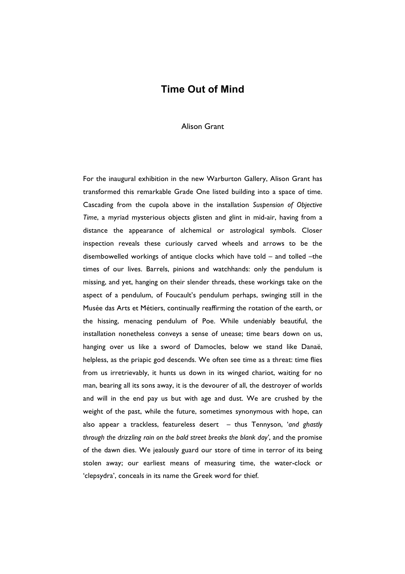## **Time Out of Mind**

Alison Grant

For the inaugural exhibition in the new Warburton Gallery, Alison Grant has transformed this remarkable Grade One listed building into a space of time. Cascading from the cupola above in the installation *Suspension of Objective Time*, a myriad mysterious objects glisten and glint in mid-air, having from a distance the appearance of alchemical or astrological symbols. Closer inspection reveals these curiously carved wheels and arrows to be the disembowelled workings of antique clocks which have told – and tolled –the times of our lives. Barrels, pinions and watchhands: only the pendulum is missing, and yet, hanging on their slender threads, these workings take on the aspect of a pendulum, of Foucault's pendulum perhaps, swinging still in the Musée das Arts et Métiers, continually reaffirming the rotation of the earth, or the hissing, menacing pendulum of Poe. While undeniably beautiful, the installation nonetheless conveys a sense of unease; time bears down on us, hanging over us like a sword of Damocles, below we stand like Danaë, helpless, as the priapic god descends. We often see time as a threat: time flies from us irretrievably, it hunts us down in its winged chariot, waiting for no man, bearing all its sons away, it is the devourer of all, the destroyer of worlds and will in the end pay us but with age and dust. We are crushed by the weight of the past, while the future, sometimes synonymous with hope, can also appear a trackless, featureless desert – thus Tennyson, '*and ghastly through the drizzling rain on the bald street breaks the blank day'*, and the promise of the dawn dies. We jealously guard our store of time in terror of its being stolen away; our earliest means of measuring time, the water-clock or 'clepsydra', conceals in its name the Greek word for thief.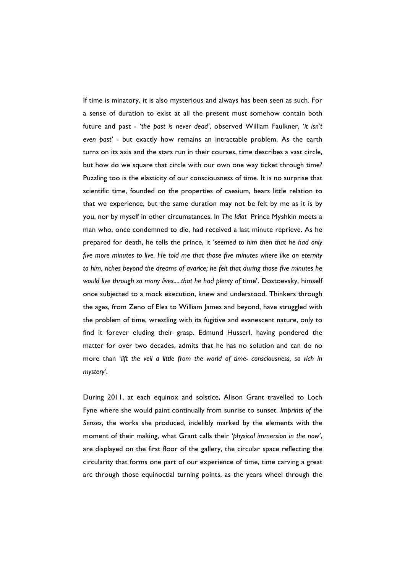If time is minatory, it is also mysterious and always has been seen as such. For a sense of duration to exist at all the present must somehow contain both future and past - '*the past is never dead'*, observed William Faulkner, '*it isn't even past'* - but exactly how remains an intractable problem. As the earth turns on its axis and the stars run in their courses, time describes a vast circle, but how do we square that circle with our own one way ticket through time? Puzzling too is the elasticity of our consciousness of time. It is no surprise that scientific time, founded on the properties of caesium, bears little relation to that we experience, but the same duration may not be felt by me as it is by you, nor by myself in other circumstances. In *The Idiot* Prince Myshkin meets a man who, once condemned to die, had received a last minute reprieve. As he prepared for death, he tells the prince, it '*seemed to him then that he had only five more minutes to live. He told me that those five minutes where like an eternity to him, riches beyond the dreams of avarice; he felt that during those five minutes he would live through so many lives.....that he had plenty of* time'. Dostoevsky, himself once subjected to a mock execution, knew and understood. Thinkers through the ages, from Zeno of Elea to William James and beyond, have struggled with the problem of time, wrestling with its fugitive and evanescent nature, only to find it forever eluding their grasp. Edmund Husserl, having pondered the matter for over two decades, admits that he has no solution and can do no more than '*lift the veil a little from the world of time- consciousness, so rich in mystery'*.

During 2011, at each equinox and solstice, Alison Grant travelled to Loch Fyne where she would paint continually from sunrise to sunset. *Imprints of the Senses*, the works she produced, indelibly marked by the elements with the moment of their making, what Grant calls their '*physical immersion in the now'*, are displayed on the first floor of the gallery, the circular space reflecting the circularity that forms one part of our experience of time, time carving a great arc through those equinoctial turning points, as the years wheel through the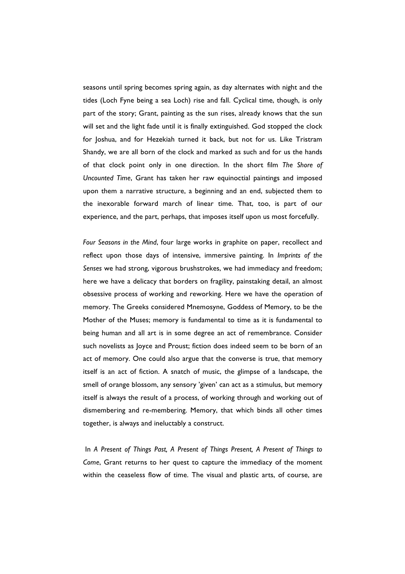seasons until spring becomes spring again, as day alternates with night and the tides (Loch Fyne being a sea Loch) rise and fall. Cyclical time, though, is only part of the story; Grant, painting as the sun rises, already knows that the sun will set and the light fade until it is finally extinguished. God stopped the clock for Joshua, and for Hezekiah turned it back, but not for us. Like Tristram Shandy, we are all born of the clock and marked as such and for us the hands of that clock point only in one direction. In the short film *The Shore of Uncounted Time*, Grant has taken her raw equinoctial paintings and imposed upon them a narrative structure, a beginning and an end, subjected them to the inexorable forward march of linear time. That, too, is part of our experience, and the part, perhaps, that imposes itself upon us most forcefully.

*Four Seasons in the Mind*, four large works in graphite on paper, recollect and reflect upon those days of intensive, immersive painting. In *Imprints of the Senses* we had strong, vigorous brushstrokes, we had immediacy and freedom; here we have a delicacy that borders on fragility, painstaking detail, an almost obsessive process of working and reworking. Here we have the operation of memory. The Greeks considered Mnemosyne, Goddess of Memory, to be the Mother of the Muses; memory is fundamental to time as it is fundamental to being human and all art is in some degree an act of remembrance. Consider such novelists as Joyce and Proust; fiction does indeed seem to be born of an act of memory. One could also argue that the converse is true, that memory itself is an act of fiction. A snatch of music, the glimpse of a landscape, the smell of orange blossom, any sensory 'given' can act as a stimulus, but memory itself is always the result of a process, of working through and working out of dismembering and re-membering. Memory, that which binds all other times together, is always and ineluctably a construct.

In *A Present of Things Past, A Present of Things Present, A Present of Things to Come*, Grant returns to her quest to capture the immediacy of the moment within the ceaseless flow of time. The visual and plastic arts, of course, are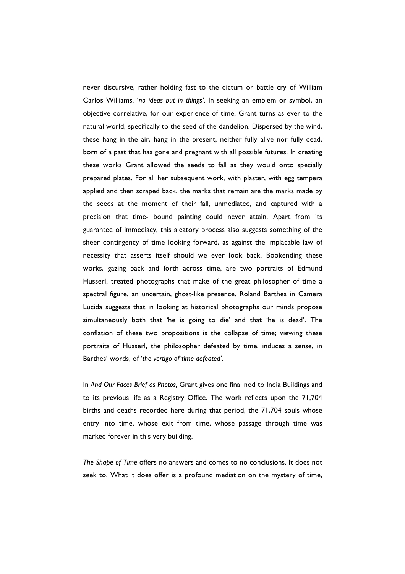never discursive, rather holding fast to the dictum or battle cry of William Carlos Williams, '*no ideas but in things'*. In seeking an emblem or symbol, an objective correlative, for our experience of time, Grant turns as ever to the natural world, specifically to the seed of the dandelion. Dispersed by the wind, these hang in the air, hang in the present, neither fully alive nor fully dead, born of a past that has gone and pregnant with all possible futures. In creating these works Grant allowed the seeds to fall as they would onto specially prepared plates. For all her subsequent work, with plaster, with egg tempera applied and then scraped back, the marks that remain are the marks made by the seeds at the moment of their fall, unmediated, and captured with a precision that time- bound painting could never attain. Apart from its guarantee of immediacy, this aleatory process also suggests something of the sheer contingency of time looking forward, as against the implacable law of necessity that asserts itself should we ever look back. Bookending these works, gazing back and forth across time, are two portraits of Edmund Husserl, treated photographs that make of the great philosopher of time a spectral figure, an uncertain, ghost-like presence. Roland Barthes in Camera Lucida suggests that in looking at historical photographs our minds propose simultaneously both that 'he is going to die' and that 'he is dead'. The conflation of these two propositions is the collapse of time; viewing these portraits of Husserl, the philosopher defeated by time, induces a sense, in Barthes' words, of '*the vertigo of time defeated'*.

In *And Our Faces Brief as Photos,* Grant gives one final nod to India Buildings and to its previous life as a Registry Office. The work reflects upon the 71,704 births and deaths recorded here during that period, the 71,704 souls whose entry into time, whose exit from time, whose passage through time was marked forever in this very building.

*The Shape of Time* offers no answers and comes to no conclusions. It does not seek to. What it does offer is a profound mediation on the mystery of time,